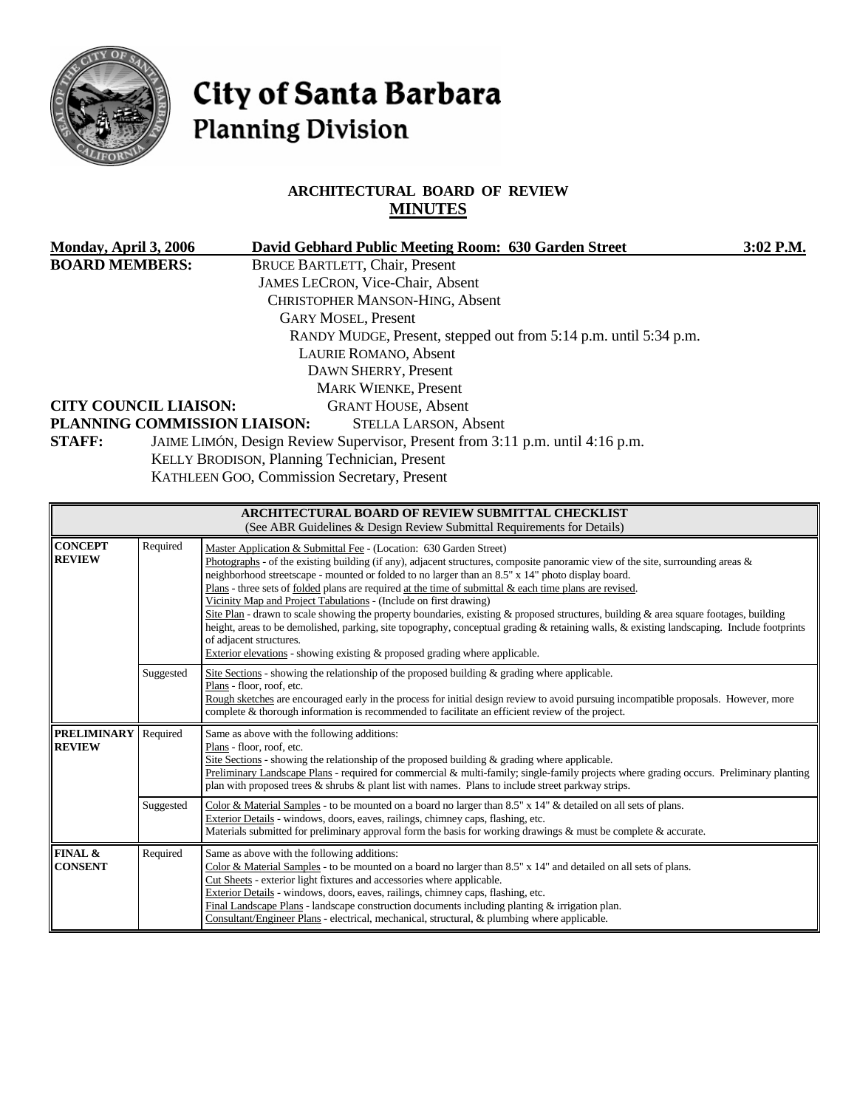

# City of Santa Barbara **Planning Division**

### **ARCHITECTURAL BOARD OF REVIEW MINUTES**

| Monday, April 3, 2006                                 |           | David Gebhard Public Meeting Room: 630 Garden Street                                                                                                                                                                                                                                                                                                                                                                                                                                                                                                                                                                                                                                                                                                                                                                                                                                                  | 3:02 P.M. |  |
|-------------------------------------------------------|-----------|-------------------------------------------------------------------------------------------------------------------------------------------------------------------------------------------------------------------------------------------------------------------------------------------------------------------------------------------------------------------------------------------------------------------------------------------------------------------------------------------------------------------------------------------------------------------------------------------------------------------------------------------------------------------------------------------------------------------------------------------------------------------------------------------------------------------------------------------------------------------------------------------------------|-----------|--|
| <b>BOARD MEMBERS:</b><br><b>CITY COUNCIL LIAISON:</b> |           | <b>BRUCE BARTLETT, Chair, Present</b><br>JAMES LECRON, Vice-Chair, Absent<br><b>CHRISTOPHER MANSON-HING, Absent</b><br><b>GARY MOSEL, Present</b><br>RANDY MUDGE, Present, stepped out from 5:14 p.m. until 5:34 p.m.<br>LAURIE ROMANO, Absent<br>DAWN SHERRY, Present<br><b>MARK WIENKE, Present</b><br><b>GRANT HOUSE, Absent</b>                                                                                                                                                                                                                                                                                                                                                                                                                                                                                                                                                                   |           |  |
|                                                       |           | PLANNING COMMISSION LIAISON:<br><b>STELLA LARSON, Absent</b>                                                                                                                                                                                                                                                                                                                                                                                                                                                                                                                                                                                                                                                                                                                                                                                                                                          |           |  |
| <b>STAFF:</b>                                         |           | JAIME LIMÓN, Design Review Supervisor, Present from 3:11 p.m. until 4:16 p.m.<br>KELLY BRODISON, Planning Technician, Present<br>KATHLEEN GOO, Commission Secretary, Present                                                                                                                                                                                                                                                                                                                                                                                                                                                                                                                                                                                                                                                                                                                          |           |  |
|                                                       |           | ARCHITECTURAL BOARD OF REVIEW SUBMITTAL CHECKLIST<br>(See ABR Guidelines & Design Review Submittal Requirements for Details)                                                                                                                                                                                                                                                                                                                                                                                                                                                                                                                                                                                                                                                                                                                                                                          |           |  |
| <b>CONCEPT</b><br><b>REVIEW</b>                       | Required  | Master Application & Submittal Fee - (Location: 630 Garden Street)<br>Photographs - of the existing building (if any), adjacent structures, composite panoramic view of the site, surrounding areas &<br>neighborhood streetscape - mounted or folded to no larger than an 8.5" x 14" photo display board.<br>Plans - three sets of <u>folded</u> plans are required at the time of submittal $\&$ each time plans are revised.<br>Vicinity Map and Project Tabulations - (Include on first drawing)<br>Site Plan - drawn to scale showing the property boundaries, existing & proposed structures, building & area square footages, building<br>height, areas to be demolished, parking, site topography, conceptual grading & retaining walls, & existing landscaping. Include footprints<br>of adjacent structures.<br>Exterior elevations - showing existing & proposed grading where applicable. |           |  |
|                                                       | Suggested | Site Sections - showing the relationship of the proposed building & grading where applicable.<br>Plans - floor, roof, etc.<br>Rough sketches are encouraged early in the process for initial design review to avoid pursuing incompatible proposals. However, more<br>complete & thorough information is recommended to facilitate an efficient review of the project.                                                                                                                                                                                                                                                                                                                                                                                                                                                                                                                                |           |  |
| <b>PRELIMINARY</b><br><b>REVIEW</b>                   | Required  | Same as above with the following additions:<br>Plans - floor, roof, etc.<br>Site Sections - showing the relationship of the proposed building $\&$ grading where applicable.<br>Preliminary Landscape Plans - required for commercial & multi-family; single-family projects where grading occurs. Preliminary planting<br>plan with proposed trees $\&$ shrubs $\&$ plant list with names. Plans to include street parkway strips.                                                                                                                                                                                                                                                                                                                                                                                                                                                                   |           |  |
|                                                       | Suggested | Color & Material Samples - to be mounted on a board no larger than 8.5" x 14" & detailed on all sets of plans.<br>Exterior Details - windows, doors, eaves, railings, chimney caps, flashing, etc.<br>Materials submitted for preliminary approval form the basis for working drawings & must be complete & accurate.                                                                                                                                                                                                                                                                                                                                                                                                                                                                                                                                                                                 |           |  |
| FINAL &<br><b>CONSENT</b>                             | Required  | Same as above with the following additions:<br>Color & Material Samples - to be mounted on a board no larger than 8.5" x 14" and detailed on all sets of plans.<br>Cut Sheets - exterior light fixtures and accessories where applicable.<br>Exterior Details - windows, doors, eaves, railings, chimney caps, flashing, etc.                                                                                                                                                                                                                                                                                                                                                                                                                                                                                                                                                                         |           |  |

Final Landscape Plans - landscape construction documents including planting & irrigation plan. Consultant/Engineer Plans - electrical, mechanical, structural, & plumbing where applicable.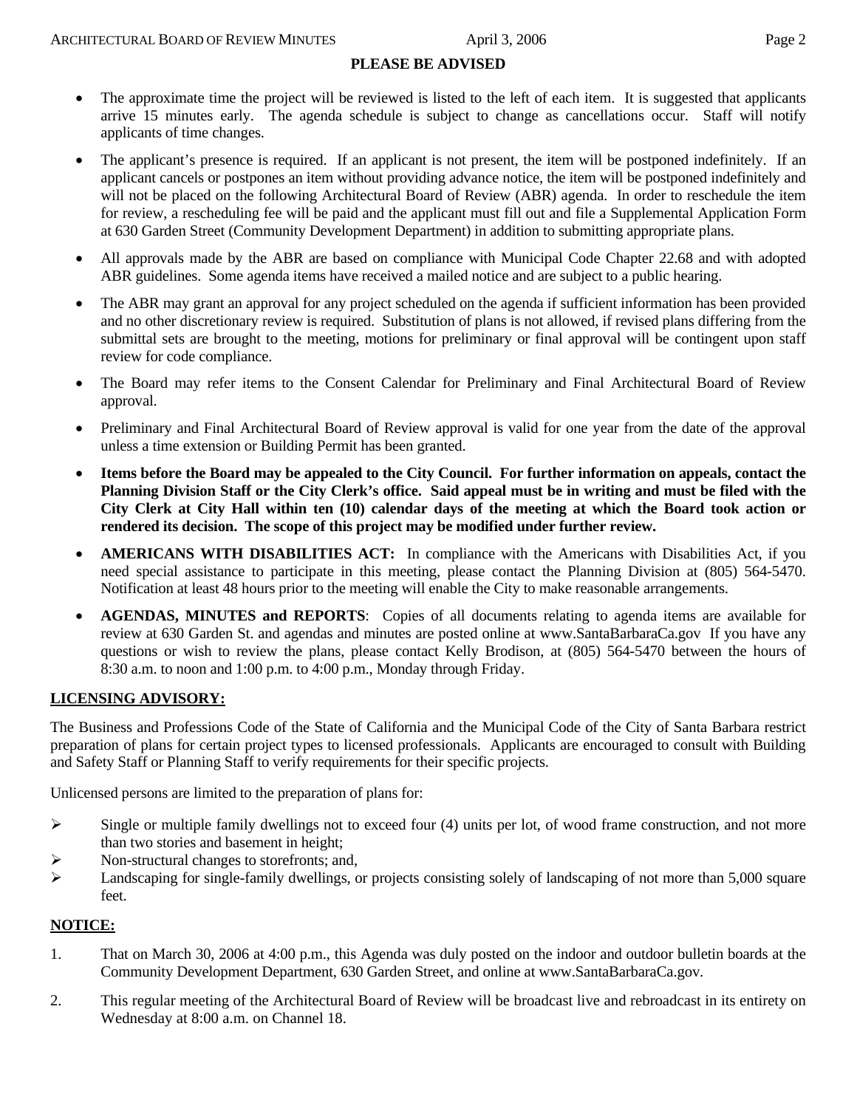#### **PLEASE BE ADVISED**

- The approximate time the project will be reviewed is listed to the left of each item. It is suggested that applicants arrive 15 minutes early. The agenda schedule is subject to change as cancellations occur. Staff will notify applicants of time changes.
- The applicant's presence is required. If an applicant is not present, the item will be postponed indefinitely. If an applicant cancels or postpones an item without providing advance notice, the item will be postponed indefinitely and will not be placed on the following Architectural Board of Review (ABR) agenda. In order to reschedule the item for review, a rescheduling fee will be paid and the applicant must fill out and file a Supplemental Application Form at 630 Garden Street (Community Development Department) in addition to submitting appropriate plans.
- All approvals made by the ABR are based on compliance with Municipal Code Chapter 22.68 and with adopted ABR guidelines. Some agenda items have received a mailed notice and are subject to a public hearing.
- The ABR may grant an approval for any project scheduled on the agenda if sufficient information has been provided and no other discretionary review is required. Substitution of plans is not allowed, if revised plans differing from the submittal sets are brought to the meeting, motions for preliminary or final approval will be contingent upon staff review for code compliance.
- The Board may refer items to the Consent Calendar for Preliminary and Final Architectural Board of Review approval.
- Preliminary and Final Architectural Board of Review approval is valid for one year from the date of the approval unless a time extension or Building Permit has been granted.
- **Items before the Board may be appealed to the City Council. For further information on appeals, contact the Planning Division Staff or the City Clerk's office. Said appeal must be in writing and must be filed with the City Clerk at City Hall within ten (10) calendar days of the meeting at which the Board took action or rendered its decision. The scope of this project may be modified under further review.**
- **AMERICANS WITH DISABILITIES ACT:** In compliance with the Americans with Disabilities Act, if you need special assistance to participate in this meeting, please contact the Planning Division at (805) 564-5470. Notification at least 48 hours prior to the meeting will enable the City to make reasonable arrangements.
- **AGENDAS, MINUTES and REPORTS**: Copies of all documents relating to agenda items are available for review at 630 Garden St. and agendas and minutes are posted online at [www.SantaBarbaraCa.gov](http://www.santabarbaraca.gov/) If you have any questions or wish to review the plans, please contact Kelly Brodison, at (805) 564-5470 between the hours of 8:30 a.m. to noon and 1:00 p.m. to 4:00 p.m., Monday through Friday.

#### **LICENSING ADVISORY:**

The Business and Professions Code of the State of California and the Municipal Code of the City of Santa Barbara restrict preparation of plans for certain project types to licensed professionals. Applicants are encouraged to consult with Building and Safety Staff or Planning Staff to verify requirements for their specific projects.

Unlicensed persons are limited to the preparation of plans for:

- $\triangleright$  Single or multiple family dwellings not to exceed four (4) units per lot, of wood frame construction, and not more than two stories and basement in height;
- ¾ Non-structural changes to storefronts; and,
- $\blacktriangleright$  Landscaping for single-family dwellings, or projects consisting solely of landscaping of not more than 5,000 square feet.

#### **NOTICE:**

- 1. That on March 30, 2006 at 4:00 p.m., this Agenda was duly posted on the indoor and outdoor bulletin boards at the Community Development Department, 630 Garden Street, and online at www.SantaBarbaraCa.gov.
- 2. This regular meeting of the Architectural Board of Review will be broadcast live and rebroadcast in its entirety on Wednesday at 8:00 a.m. on Channel 18.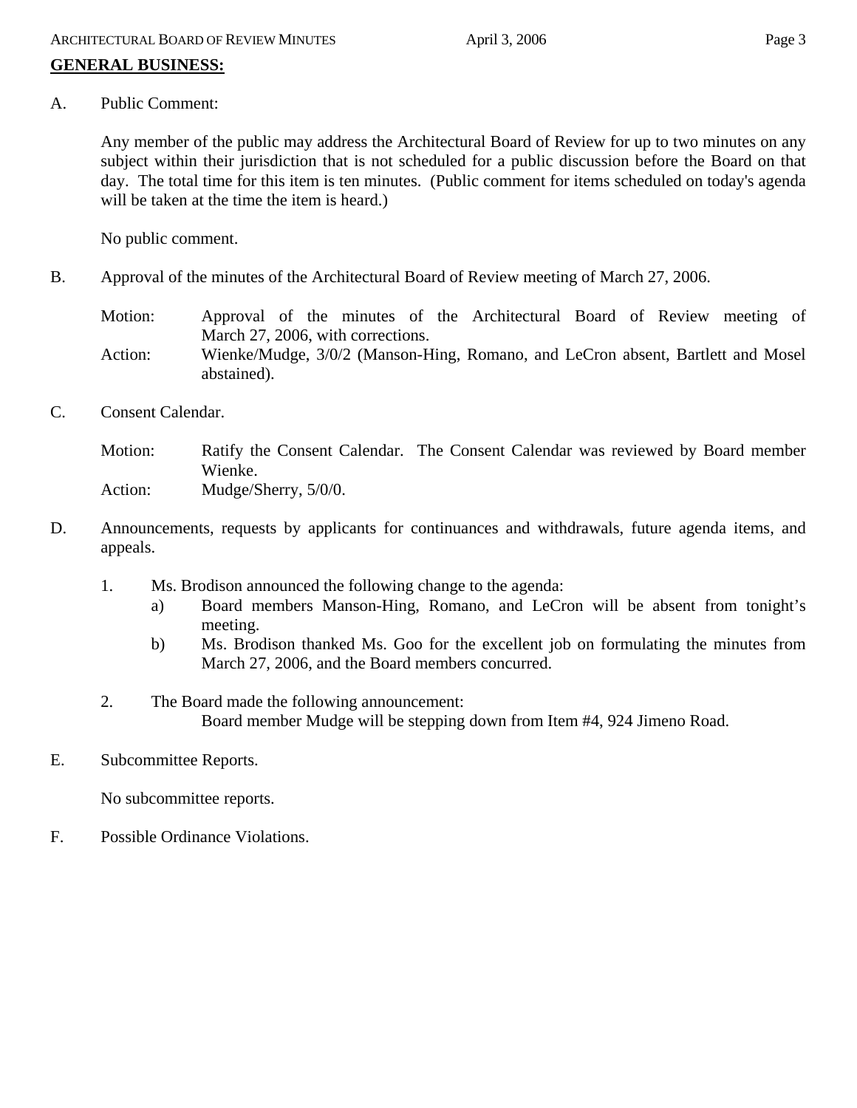# **GENERAL BUSINESS:**

A. Public Comment:

Any member of the public may address the Architectural Board of Review for up to two minutes on any subject within their jurisdiction that is not scheduled for a public discussion before the Board on that day. The total time for this item is ten minutes. (Public comment for items scheduled on today's agenda will be taken at the time the item is heard.)

No public comment.

B. Approval of the minutes of the Architectural Board of Review meeting of March 27, 2006.

Motion: Approval of the minutes of the Architectural Board of Review meeting of March 27, 2006, with corrections.

- Action: Wienke/Mudge, 3/0/2 (Manson-Hing, Romano, and LeCron absent, Bartlett and Mosel abstained).
- C. Consent Calendar.

Motion: Ratify the Consent Calendar. The Consent Calendar was reviewed by Board member Wienke. Action: Mudge/Sherry, 5/0/0.

- D. Announcements, requests by applicants for continuances and withdrawals, future agenda items, and appeals.
	- 1. Ms. Brodison announced the following change to the agenda:
		- a) Board members Manson-Hing, Romano, and LeCron will be absent from tonight's meeting.
		- b) Ms. Brodison thanked Ms. Goo for the excellent job on formulating the minutes from March 27, 2006, and the Board members concurred.
	- 2. The Board made the following announcement: Board member Mudge will be stepping down from Item #4, 924 Jimeno Road.
- E. Subcommittee Reports.

No subcommittee reports.

F. Possible Ordinance Violations.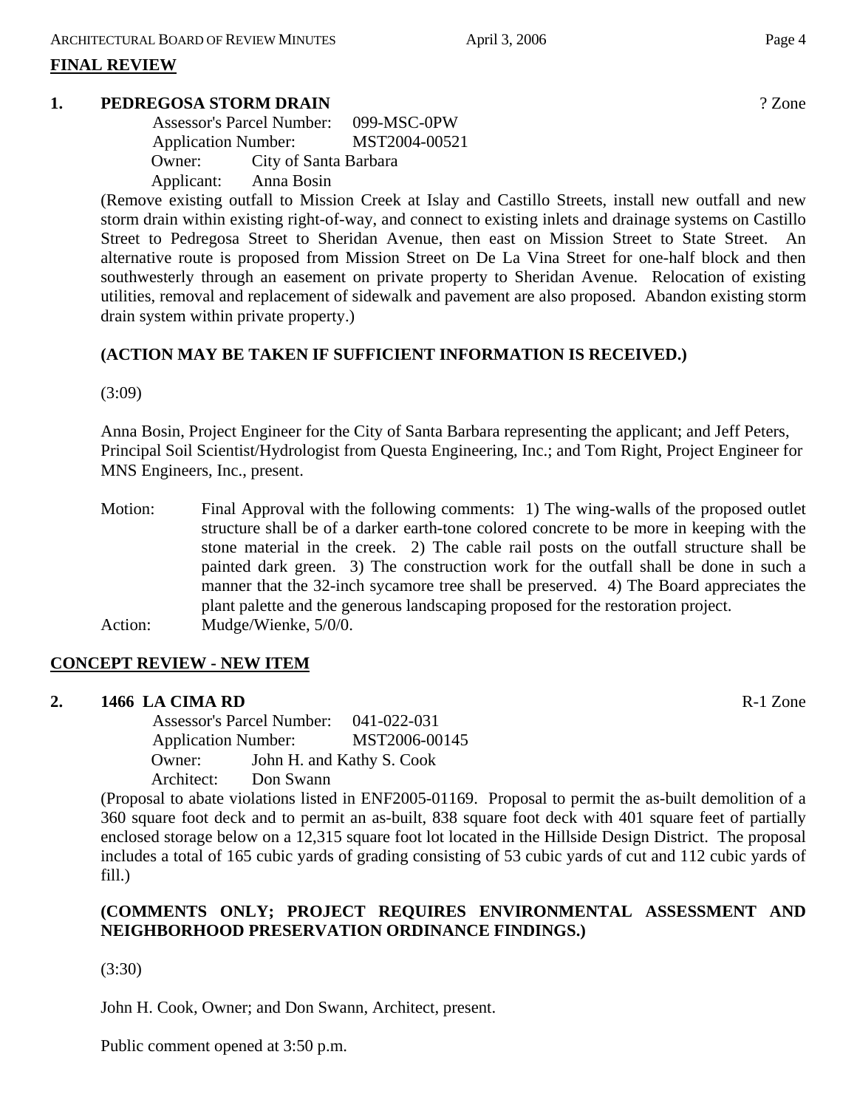#### **FINAL REVIEW**

#### **1. PEDREGOSA STORM DRAIN** ? Zone

|            | <b>Assessor's Parcel Number:</b> |  |
|------------|----------------------------------|--|
|            | <b>Application Number:</b>       |  |
| Owner:     | City of Santa Barbara            |  |
| Applicant: | Anna Bosin                       |  |

(Remove existing outfall to Mission Creek at Islay and Castillo Streets, install new outfall and new storm drain within existing right-of-way, and connect to existing inlets and drainage systems on Castillo Street to Pedregosa Street to Sheridan Avenue, then east on Mission Street to State Street. An alternative route is proposed from Mission Street on De La Vina Street for one-half block and then southwesterly through an easement on private property to Sheridan Avenue. Relocation of existing utilities, removal and replacement of sidewalk and pavement are also proposed. Abandon existing storm drain system within private property.)

#### **(ACTION MAY BE TAKEN IF SUFFICIENT INFORMATION IS RECEIVED.)**

(3:09)

Anna Bosin, Project Engineer for the City of Santa Barbara representing the applicant; and Jeff Peters, Principal Soil Scientist/Hydrologist from Questa Engineering, Inc.; and Tom Right, Project Engineer for MNS Engineers, Inc., present.

Motion: Final Approval with the following comments: 1) The wing-walls of the proposed outlet structure shall be of a darker earth-tone colored concrete to be more in keeping with the stone material in the creek. 2) The cable rail posts on the outfall structure shall be painted dark green. 3) The construction work for the outfall shall be done in such a manner that the 32-inch sycamore tree shall be preserved. 4) The Board appreciates the plant palette and the generous landscaping proposed for the restoration project. Action: Mudge/Wienke, 5/0/0.

# **CONCEPT REVIEW - NEW ITEM**

#### **2. 1466 LA CIMA RD** R-1 Zone

 Assessor's Parcel Number: 041-022-031 Application Number: MST2006-00145 Owner: John H. and Kathy S. Cook Architect: Don Swann

(Proposal to abate violations listed in ENF2005-01169. Proposal to permit the as-built demolition of a 360 square foot deck and to permit an as-built, 838 square foot deck with 401 square feet of partially enclosed storage below on a 12,315 square foot lot located in the Hillside Design District. The proposal includes a total of 165 cubic yards of grading consisting of 53 cubic yards of cut and 112 cubic yards of fill.)

# **(COMMENTS ONLY; PROJECT REQUIRES ENVIRONMENTAL ASSESSMENT AND NEIGHBORHOOD PRESERVATION ORDINANCE FINDINGS.)**

(3:30)

John H. Cook, Owner; and Don Swann, Architect, present.

Public comment opened at 3:50 p.m.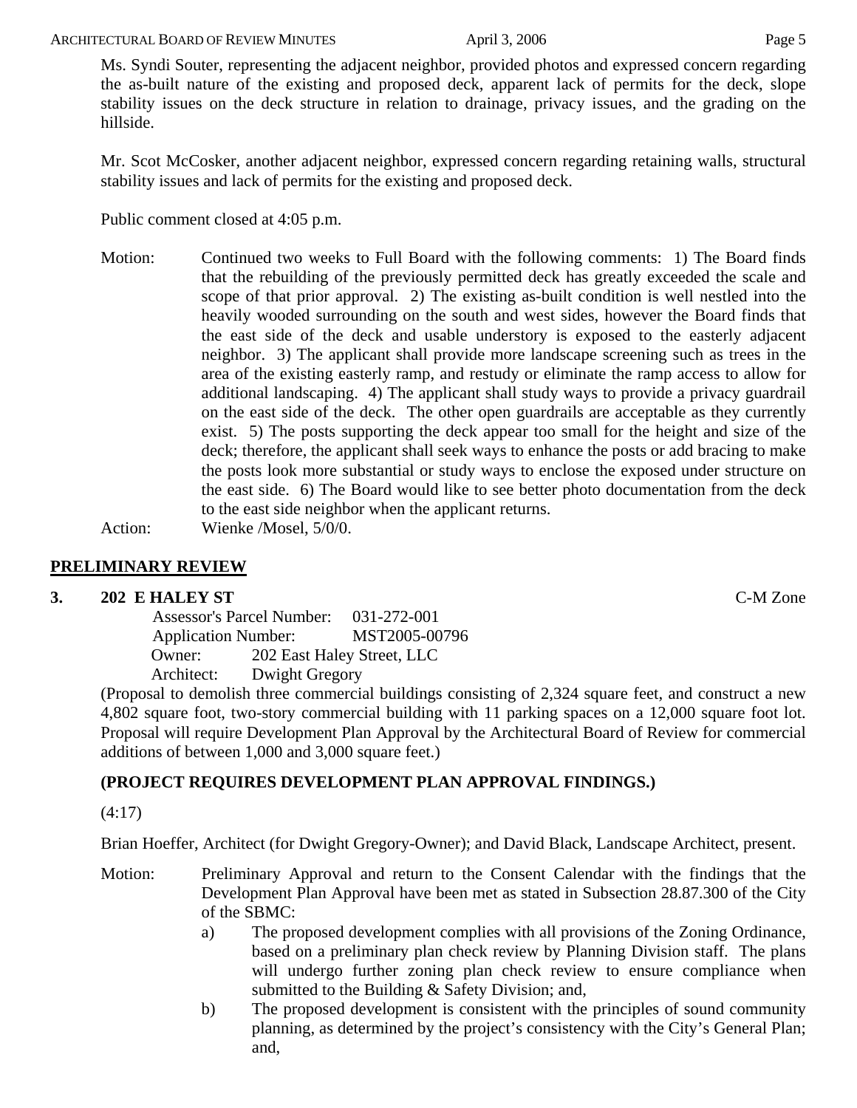Ms. Syndi Souter, representing the adjacent neighbor, provided photos and expressed concern regarding the as-built nature of the existing and proposed deck, apparent lack of permits for the deck, slope stability issues on the deck structure in relation to drainage, privacy issues, and the grading on the hillside.

Mr. Scot McCosker, another adjacent neighbor, expressed concern regarding retaining walls, structural stability issues and lack of permits for the existing and proposed deck.

Public comment closed at 4:05 p.m.

Motion: Continued two weeks to Full Board with the following comments: 1) The Board finds that the rebuilding of the previously permitted deck has greatly exceeded the scale and scope of that prior approval. 2) The existing as-built condition is well nestled into the heavily wooded surrounding on the south and west sides, however the Board finds that the east side of the deck and usable understory is exposed to the easterly adjacent neighbor. 3) The applicant shall provide more landscape screening such as trees in the area of the existing easterly ramp, and restudy or eliminate the ramp access to allow for additional landscaping. 4) The applicant shall study ways to provide a privacy guardrail on the east side of the deck. The other open guardrails are acceptable as they currently exist. 5) The posts supporting the deck appear too small for the height and size of the deck; therefore, the applicant shall seek ways to enhance the posts or add bracing to make the posts look more substantial or study ways to enclose the exposed under structure on the east side. 6) The Board would like to see better photo documentation from the deck to the east side neighbor when the applicant returns.

Action: Wienke /Mosel, 5/0/0.

# **PRELIMINARY REVIEW**

# **3. 202 E HALEY ST** C-M Zone

 Assessor's Parcel Number: 031-272-001 Application Number: MST2005-00796 Owner: 202 East Haley Street, LLC Architect: Dwight Gregory

(Proposal to demolish three commercial buildings consisting of 2,324 square feet, and construct a new 4,802 square foot, two-story commercial building with 11 parking spaces on a 12,000 square foot lot. Proposal will require Development Plan Approval by the Architectural Board of Review for commercial additions of between 1,000 and 3,000 square feet.)

# **(PROJECT REQUIRES DEVELOPMENT PLAN APPROVAL FINDINGS.)**

(4:17)

Brian Hoeffer, Architect (for Dwight Gregory-Owner); and David Black, Landscape Architect, present.

- Motion: Preliminary Approval and return to the Consent Calendar with the findings that the Development Plan Approval have been met as stated in Subsection 28.87.300 of the City of the SBMC:
	- a) The proposed development complies with all provisions of the Zoning Ordinance, based on a preliminary plan check review by Planning Division staff. The plans will undergo further zoning plan check review to ensure compliance when submitted to the Building & Safety Division; and,
	- b) The proposed development is consistent with the principles of sound community planning, as determined by the project's consistency with the City's General Plan; and,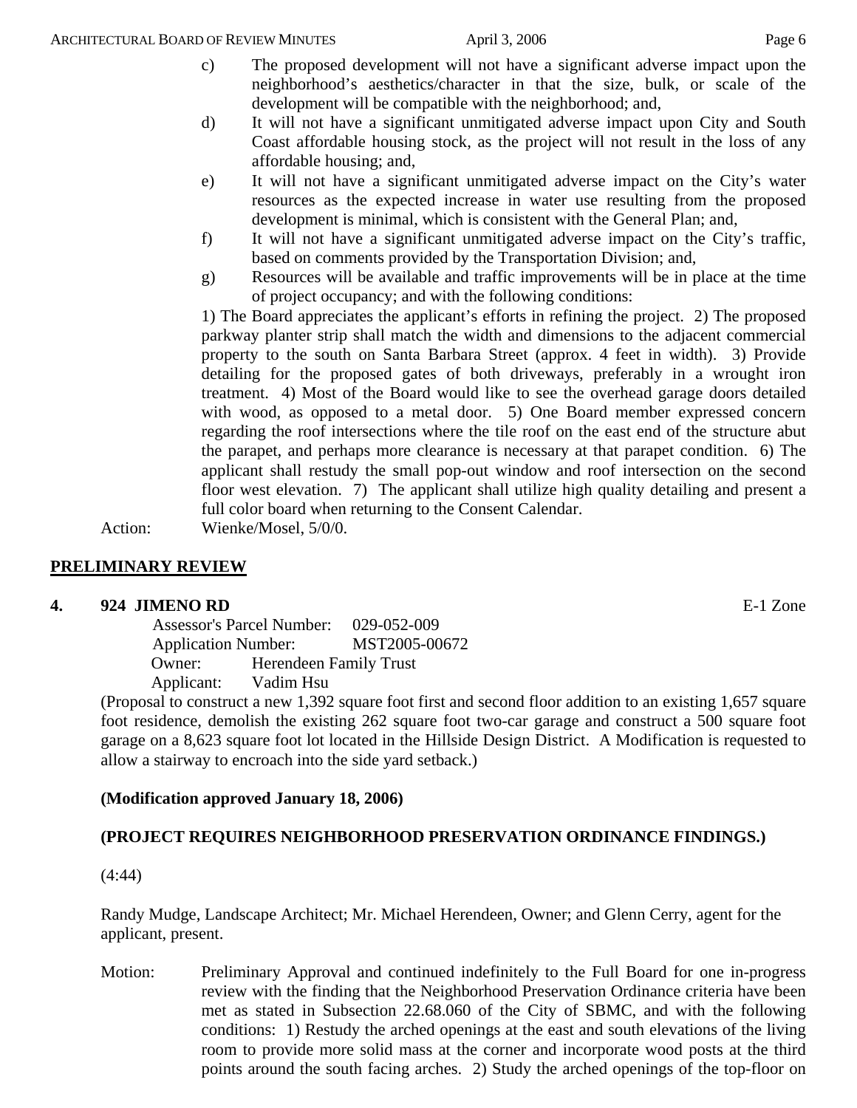c) The proposed development will not have a significant adverse impact upon the neighborhood's aesthetics/character in that the size, bulk, or scale of the development will be compatible with the neighborhood; and,

- d) It will not have a significant unmitigated adverse impact upon City and South Coast affordable housing stock, as the project will not result in the loss of any affordable housing; and,
- e) It will not have a significant unmitigated adverse impact on the City's water resources as the expected increase in water use resulting from the proposed development is minimal, which is consistent with the General Plan; and,
- f) It will not have a significant unmitigated adverse impact on the City's traffic, based on comments provided by the Transportation Division; and,
- g) Resources will be available and traffic improvements will be in place at the time of project occupancy; and with the following conditions:

1) The Board appreciates the applicant's efforts in refining the project. 2) The proposed parkway planter strip shall match the width and dimensions to the adjacent commercial property to the south on Santa Barbara Street (approx. 4 feet in width). 3) Provide detailing for the proposed gates of both driveways, preferably in a wrought iron treatment. 4) Most of the Board would like to see the overhead garage doors detailed with wood, as opposed to a metal door. 5) One Board member expressed concern regarding the roof intersections where the tile roof on the east end of the structure abut the parapet, and perhaps more clearance is necessary at that parapet condition. 6) The applicant shall restudy the small pop-out window and roof intersection on the second floor west elevation. 7) The applicant shall utilize high quality detailing and present a full color board when returning to the Consent Calendar.

Action: Wienke/Mosel, 5/0/0.

# **PRELIMINARY REVIEW**

# **4. 924 JIMENO RD** E-1 Zone

 Assessor's Parcel Number: 029-052-009 Application Number: MST2005-00672 Owner: Herendeen Family Trust Applicant: Vadim Hsu

(Proposal to construct a new 1,392 square foot first and second floor addition to an existing 1,657 square foot residence, demolish the existing 262 square foot two-car garage and construct a 500 square foot garage on a 8,623 square foot lot located in the Hillside Design District. A Modification is requested to allow a stairway to encroach into the side yard setback.)

# **(Modification approved January 18, 2006)**

# **(PROJECT REQUIRES NEIGHBORHOOD PRESERVATION ORDINANCE FINDINGS.)**

(4:44)

Randy Mudge, Landscape Architect; Mr. Michael Herendeen, Owner; and Glenn Cerry, agent for the applicant, present.

Motion: Preliminary Approval and continued indefinitely to the Full Board for one in-progress review with the finding that the Neighborhood Preservation Ordinance criteria have been met as stated in Subsection 22.68.060 of the City of SBMC, and with the following conditions: 1) Restudy the arched openings at the east and south elevations of the living room to provide more solid mass at the corner and incorporate wood posts at the third points around the south facing arches. 2) Study the arched openings of the top-floor on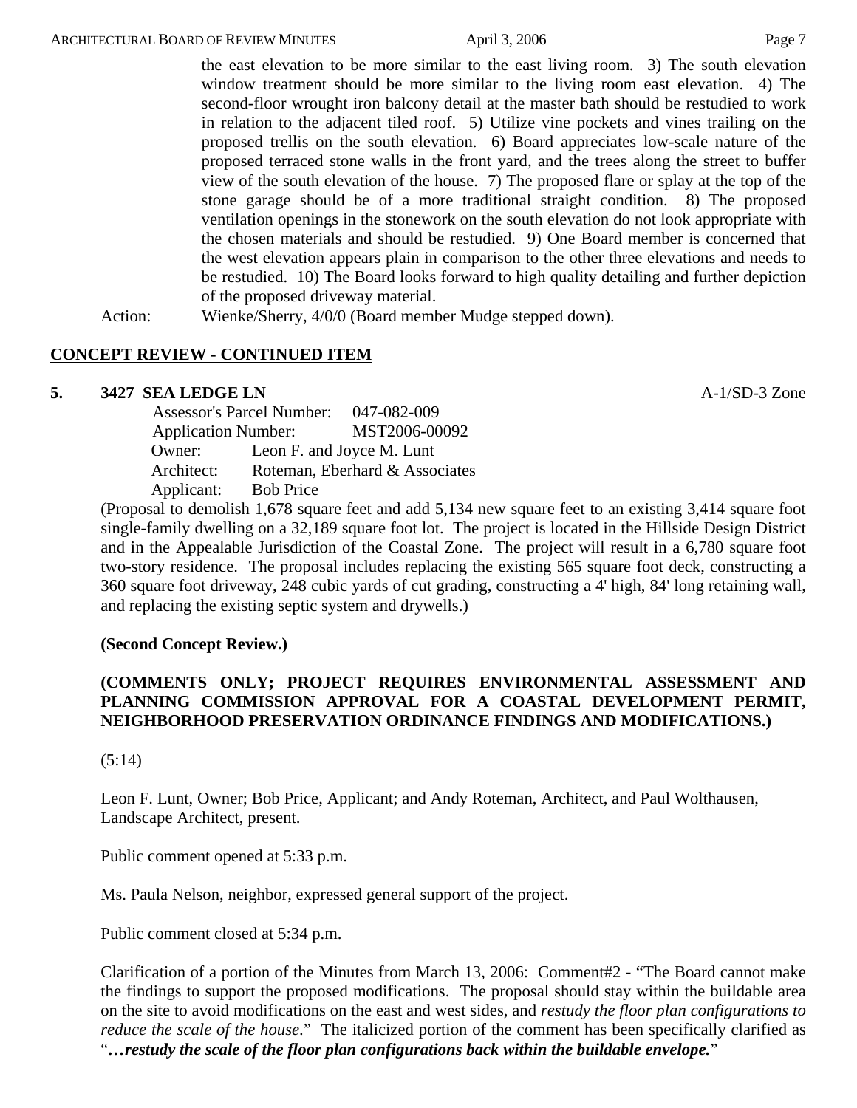the east elevation to be more similar to the east living room. 3) The south elevation window treatment should be more similar to the living room east elevation. 4) The second-floor wrought iron balcony detail at the master bath should be restudied to work in relation to the adjacent tiled roof. 5) Utilize vine pockets and vines trailing on the proposed trellis on the south elevation. 6) Board appreciates low-scale nature of the proposed terraced stone walls in the front yard, and the trees along the street to buffer view of the south elevation of the house. 7) The proposed flare or splay at the top of the stone garage should be of a more traditional straight condition. 8) The proposed ventilation openings in the stonework on the south elevation do not look appropriate with the chosen materials and should be restudied. 9) One Board member is concerned that the west elevation appears plain in comparison to the other three elevations and needs to be restudied. 10) The Board looks forward to high quality detailing and further depiction of the proposed driveway material.

Action: Wienke/Sherry,  $4/0/0$  (Board member Mudge stepped down).

#### **CONCEPT REVIEW - CONTINUED ITEM**

#### **5. 3427 SEA LEDGE LN A-1/SD-3 Zone**

 Assessor's Parcel Number: 047-082-009 Application Number: MST2006-00092 Owner: Leon F. and Joyce M. Lunt Architect: Roteman, Eberhard & Associates Applicant: Bob Price

(Proposal to demolish 1,678 square feet and add 5,134 new square feet to an existing 3,414 square foot single-family dwelling on a 32,189 square foot lot. The project is located in the Hillside Design District and in the Appealable Jurisdiction of the Coastal Zone. The project will result in a 6,780 square foot two-story residence. The proposal includes replacing the existing 565 square foot deck, constructing a 360 square foot driveway, 248 cubic yards of cut grading, constructing a 4' high, 84' long retaining wall, and replacing the existing septic system and drywells.)

#### **(Second Concept Review.)**

# **(COMMENTS ONLY; PROJECT REQUIRES ENVIRONMENTAL ASSESSMENT AND PLANNING COMMISSION APPROVAL FOR A COASTAL DEVELOPMENT PERMIT, NEIGHBORHOOD PRESERVATION ORDINANCE FINDINGS AND MODIFICATIONS.)**

#### (5:14)

Leon F. Lunt, Owner; Bob Price, Applicant; and Andy Roteman, Architect, and Paul Wolthausen, Landscape Architect, present.

Public comment opened at 5:33 p.m.

Ms. Paula Nelson, neighbor, expressed general support of the project.

Public comment closed at 5:34 p.m.

Clarification of a portion of the Minutes from March 13, 2006: Comment#2 - "The Board cannot make the findings to support the proposed modifications. The proposal should stay within the buildable area on the site to avoid modifications on the east and west sides, and *restudy the floor plan configurations to reduce the scale of the house*." The italicized portion of the comment has been specifically clarified as "*…restudy the scale of the floor plan configurations back within the buildable envelope.*"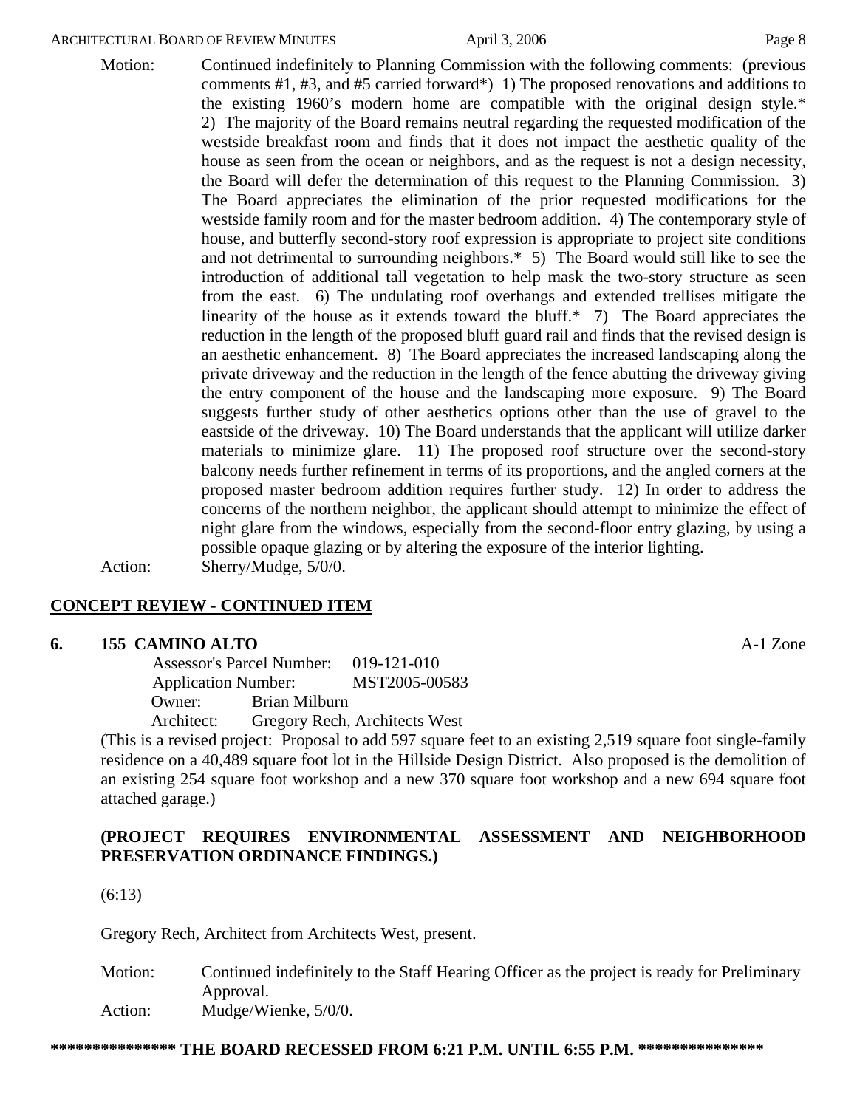Motion: Continued indefinitely to Planning Commission with the following comments: (previous comments #1, #3, and #5 carried forward\*) 1) The proposed renovations and additions to the existing 1960's modern home are compatible with the original design style.\* 2) The majority of the Board remains neutral regarding the requested modification of the westside breakfast room and finds that it does not impact the aesthetic quality of the house as seen from the ocean or neighbors, and as the request is not a design necessity, the Board will defer the determination of this request to the Planning Commission. 3) The Board appreciates the elimination of the prior requested modifications for the westside family room and for the master bedroom addition. 4) The contemporary style of house, and butterfly second-story roof expression is appropriate to project site conditions and not detrimental to surrounding neighbors.\* 5) The Board would still like to see the introduction of additional tall vegetation to help mask the two-story structure as seen from the east. 6) The undulating roof overhangs and extended trellises mitigate the linearity of the house as it extends toward the bluff.\* 7) The Board appreciates the reduction in the length of the proposed bluff guard rail and finds that the revised design is an aesthetic enhancement. 8) The Board appreciates the increased landscaping along the private driveway and the reduction in the length of the fence abutting the driveway giving the entry component of the house and the landscaping more exposure. 9) The Board suggests further study of other aesthetics options other than the use of gravel to the eastside of the driveway. 10) The Board understands that the applicant will utilize darker materials to minimize glare. 11) The proposed roof structure over the second-story balcony needs further refinement in terms of its proportions, and the angled corners at the proposed master bedroom addition requires further study. 12) In order to address the

> concerns of the northern neighbor, the applicant should attempt to minimize the effect of night glare from the windows, especially from the second-floor entry glazing, by using a

Action: Sherry/Mudge, 5/0/0.

# **CONCEPT REVIEW - CONTINUED ITEM**

#### **6. 155 CAMINO ALTO** A-1 Zone

 Assessor's Parcel Number: 019-121-010 Application Number: MST2005-00583 Owner: Brian Milburn

Architect: Gregory Rech, Architects West

(This is a revised project: Proposal to add 597 square feet to an existing 2,519 square foot single-family residence on a 40,489 square foot lot in the Hillside Design District. Also proposed is the demolition of an existing 254 square foot workshop and a new 370 square foot workshop and a new 694 square foot attached garage.)

possible opaque glazing or by altering the exposure of the interior lighting.

# **(PROJECT REQUIRES ENVIRONMENTAL ASSESSMENT AND NEIGHBORHOOD PRESERVATION ORDINANCE FINDINGS.)**

(6:13)

Gregory Rech, Architect from Architects West, present.

Motion: Continued indefinitely to the Staff Hearing Officer as the project is ready for Preliminary Approval. Action: Mudge/Wienke, 5/0/0.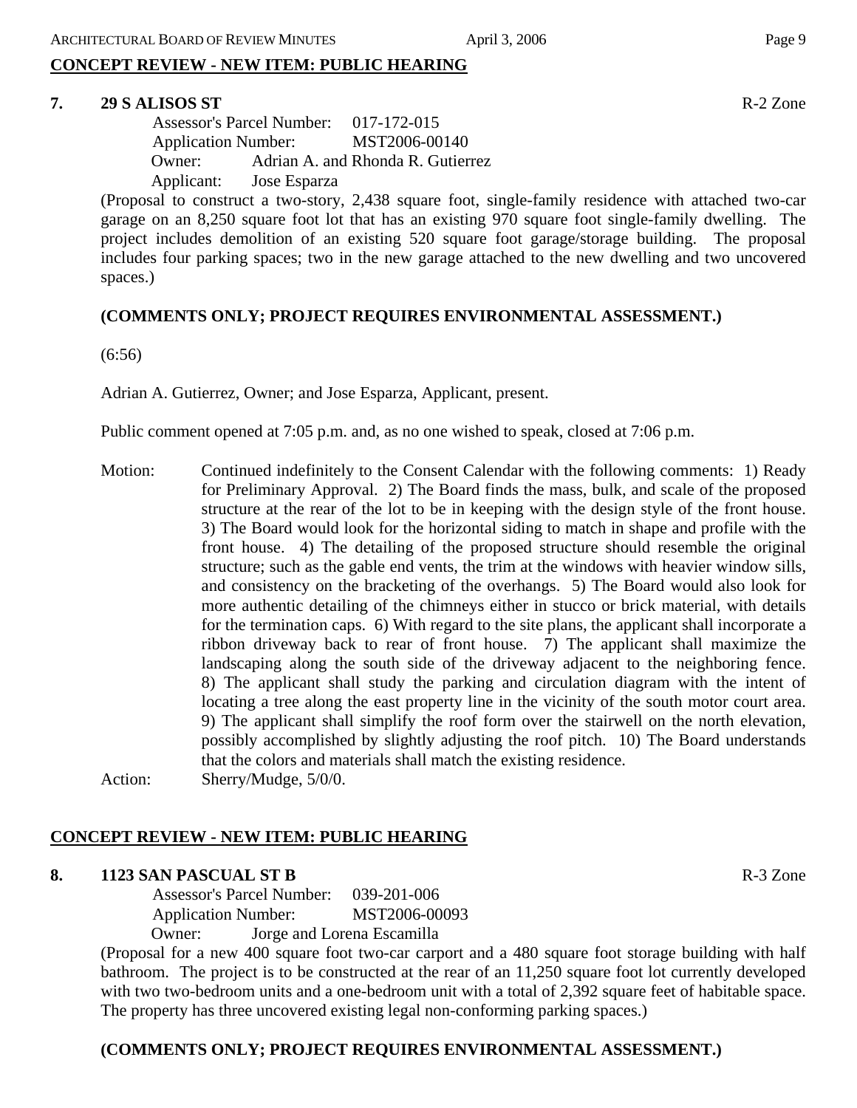# **CONCEPT REVIEW - NEW ITEM: PUBLIC HEARING**

# **7. 29 S ALISOS ST** R-2 Zone

 Assessor's Parcel Number: 017-172-015 Application Number: MST2006-00140 Owner: Adrian A. and Rhonda R. Gutierrez Applicant: Jose Esparza

(Proposal to construct a two-story, 2,438 square foot, single-family residence with attached two-car garage on an 8,250 square foot lot that has an existing 970 square foot single-family dwelling. The project includes demolition of an existing 520 square foot garage/storage building. The proposal includes four parking spaces; two in the new garage attached to the new dwelling and two uncovered spaces.)

# **(COMMENTS ONLY; PROJECT REQUIRES ENVIRONMENTAL ASSESSMENT.)**

(6:56)

Adrian A. Gutierrez, Owner; and Jose Esparza, Applicant, present.

Public comment opened at 7:05 p.m. and, as no one wished to speak, closed at 7:06 p.m.

Motion: Continued indefinitely to the Consent Calendar with the following comments: 1) Ready for Preliminary Approval. 2) The Board finds the mass, bulk, and scale of the proposed structure at the rear of the lot to be in keeping with the design style of the front house. 3) The Board would look for the horizontal siding to match in shape and profile with the front house. 4) The detailing of the proposed structure should resemble the original structure; such as the gable end vents, the trim at the windows with heavier window sills, and consistency on the bracketing of the overhangs. 5) The Board would also look for more authentic detailing of the chimneys either in stucco or brick material, with details for the termination caps. 6) With regard to the site plans, the applicant shall incorporate a ribbon driveway back to rear of front house. 7) The applicant shall maximize the landscaping along the south side of the driveway adjacent to the neighboring fence. 8) The applicant shall study the parking and circulation diagram with the intent of locating a tree along the east property line in the vicinity of the south motor court area. 9) The applicant shall simplify the roof form over the stairwell on the north elevation, possibly accomplished by slightly adjusting the roof pitch. 10) The Board understands that the colors and materials shall match the existing residence. Action: Sherry/Mudge, 5/0/0.

# **CONCEPT REVIEW - NEW ITEM: PUBLIC HEARING**

# **8. 1123 SAN PASCUAL ST B** R-3 Zone

 Assessor's Parcel Number: 039-201-006 Application Number: MST2006-00093 Owner: Jorge and Lorena Escamilla

(Proposal for a new 400 square foot two-car carport and a 480 square foot storage building with half bathroom. The project is to be constructed at the rear of an 11,250 square foot lot currently developed with two two-bedroom units and a one-bedroom unit with a total of 2,392 square feet of habitable space. The property has three uncovered existing legal non-conforming parking spaces.)

# **(COMMENTS ONLY; PROJECT REQUIRES ENVIRONMENTAL ASSESSMENT.)**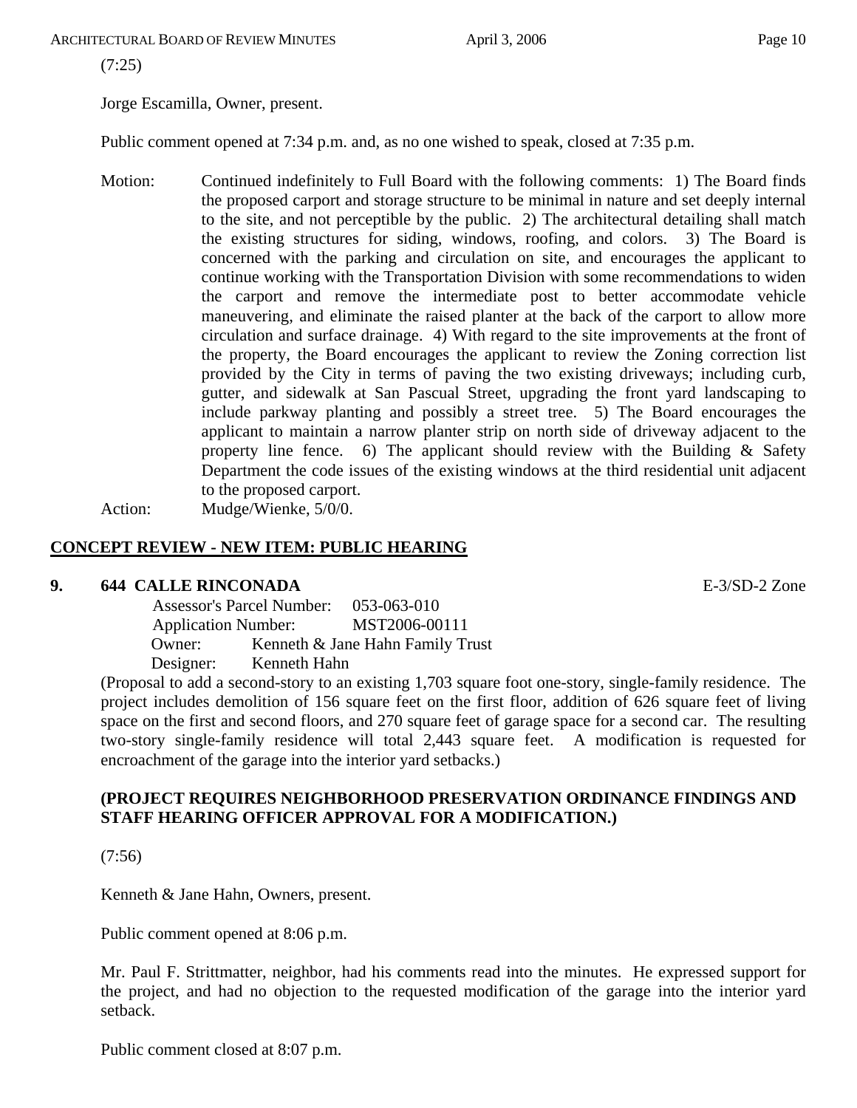(7:25)

Jorge Escamilla, Owner, present.

Public comment opened at 7:34 p.m. and, as no one wished to speak, closed at 7:35 p.m.

Motion: Continued indefinitely to Full Board with the following comments: 1) The Board finds the proposed carport and storage structure to be minimal in nature and set deeply internal to the site, and not perceptible by the public. 2) The architectural detailing shall match the existing structures for siding, windows, roofing, and colors. 3) The Board is concerned with the parking and circulation on site, and encourages the applicant to continue working with the Transportation Division with some recommendations to widen the carport and remove the intermediate post to better accommodate vehicle maneuvering, and eliminate the raised planter at the back of the carport to allow more circulation and surface drainage. 4) With regard to the site improvements at the front of the property, the Board encourages the applicant to review the Zoning correction list provided by the City in terms of paving the two existing driveways; including curb, gutter, and sidewalk at San Pascual Street, upgrading the front yard landscaping to include parkway planting and possibly a street tree. 5) The Board encourages the applicant to maintain a narrow planter strip on north side of driveway adjacent to the property line fence. 6) The applicant should review with the Building & Safety Department the code issues of the existing windows at the third residential unit adjacent to the proposed carport. Action: Mudge/Wienke, 5/0/0.

# **CONCEPT REVIEW - NEW ITEM: PUBLIC HEARING**

#### **9. 644 CALLE RINCONADA** E-3/SD-2 Zone

 Assessor's Parcel Number: 053-063-010 Application Number: MST2006-00111 Owner: Kenneth & Jane Hahn Family Trust Designer: Kenneth Hahn

(Proposal to add a second-story to an existing 1,703 square foot one-story, single-family residence. The project includes demolition of 156 square feet on the first floor, addition of 626 square feet of living space on the first and second floors, and 270 square feet of garage space for a second car. The resulting two-story single-family residence will total 2,443 square feet. A modification is requested for encroachment of the garage into the interior yard setbacks.)

# **(PROJECT REQUIRES NEIGHBORHOOD PRESERVATION ORDINANCE FINDINGS AND STAFF HEARING OFFICER APPROVAL FOR A MODIFICATION.)**

(7:56)

Kenneth & Jane Hahn, Owners, present.

Public comment opened at 8:06 p.m.

Mr. Paul F. Strittmatter, neighbor, had his comments read into the minutes. He expressed support for the project, and had no objection to the requested modification of the garage into the interior yard setback.

Public comment closed at 8:07 p.m.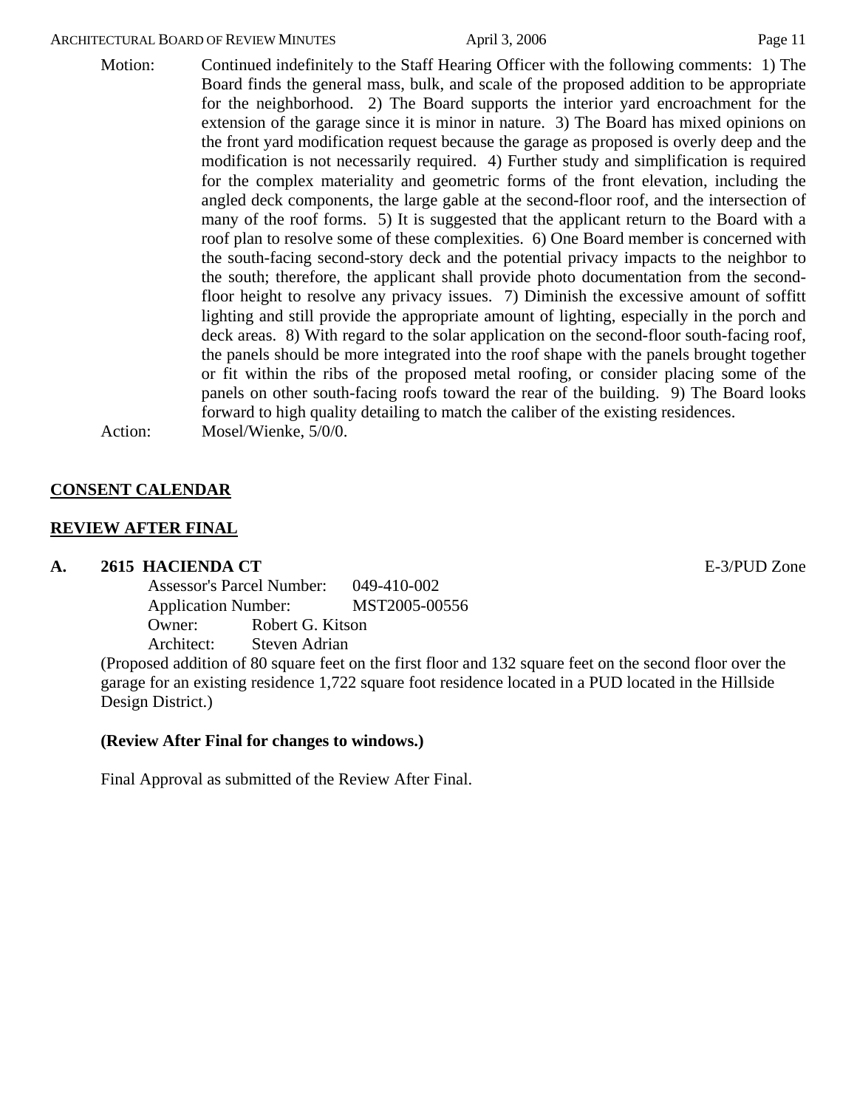Motion: Continued indefinitely to the Staff Hearing Officer with the following comments: 1) The Board finds the general mass, bulk, and scale of the proposed addition to be appropriate for the neighborhood. 2) The Board supports the interior yard encroachment for the extension of the garage since it is minor in nature. 3) The Board has mixed opinions on the front yard modification request because the garage as proposed is overly deep and the modification is not necessarily required. 4) Further study and simplification is required for the complex materiality and geometric forms of the front elevation, including the angled deck components, the large gable at the second-floor roof, and the intersection of many of the roof forms. 5) It is suggested that the applicant return to the Board with a roof plan to resolve some of these complexities. 6) One Board member is concerned with the south-facing second-story deck and the potential privacy impacts to the neighbor to the south; therefore, the applicant shall provide photo documentation from the secondfloor height to resolve any privacy issues. 7) Diminish the excessive amount of soffitt lighting and still provide the appropriate amount of lighting, especially in the porch and deck areas. 8) With regard to the solar application on the second-floor south-facing roof, the panels should be more integrated into the roof shape with the panels brought together or fit within the ribs of the proposed metal roofing, or consider placing some of the panels on other south-facing roofs toward the rear of the building. 9) The Board looks forward to high quality detailing to match the caliber of the existing residences. Action: Mosel/Wienke, 5/0/0.

### **CONSENT CALENDAR**

#### **REVIEW AFTER FINAL**

#### **A. 2615 HACIENDA CT** E-3/PUD Zone

Assessor's Parcel Number: 049-410-002 Application Number: MST2005-00556 Owner: Robert G. Kitson Architect: Steven Adrian

(Proposed addition of 80 square feet on the first floor and 132 square feet on the second floor over the garage for an existing residence 1,722 square foot residence located in a PUD located in the Hillside Design District.)

#### **(Review After Final for changes to windows.)**

Final Approval as submitted of the Review After Final.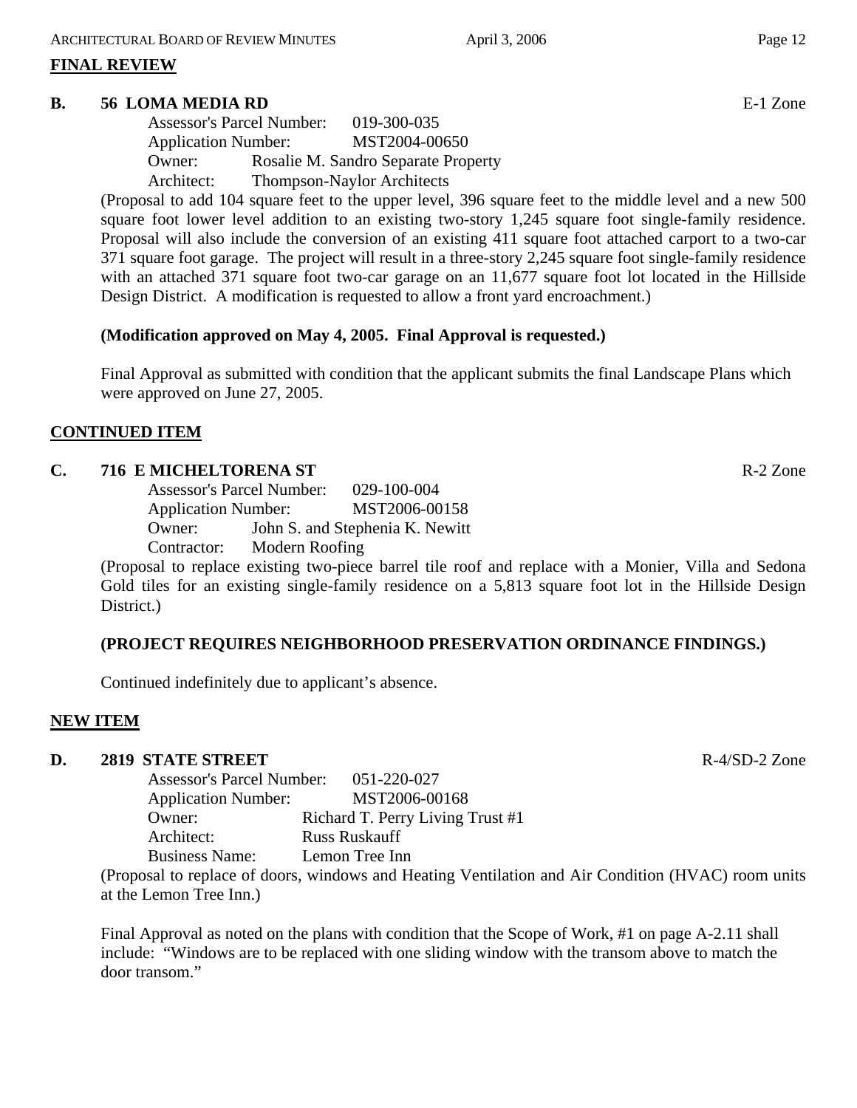#### **FINAL REVIEW**

#### **B. 56 LOMA MEDIA RD E-1** Zone

|                            | <b>Assessor's Parcel Number:</b> | 019-300-035                         |
|----------------------------|----------------------------------|-------------------------------------|
| <b>Application Number:</b> |                                  | MST2004-00650                       |
| Owner:                     |                                  | Rosalie M. Sandro Separate Property |
| Architect:                 |                                  | <b>Thompson-Naylor Architects</b>   |

(Proposal to add 104 square feet to the upper level, 396 square feet to the middle level and a new 500 square foot lower level addition to an existing two-story 1,245 square foot single-family residence. Proposal will also include the conversion of an existing 411 square foot attached carport to a two-car 371 square foot garage. The project will result in a three-story 2,245 square foot single-family residence with an attached 371 square foot two-car garage on an 11,677 square foot lot located in the Hillside Design District. A modification is requested to allow a front yard encroachment.)

### **(Modification approved on May 4, 2005. Final Approval is requested.)**

Final Approval as submitted with condition that the applicant submits the final Landscape Plans which were approved on June 27, 2005.

#### **CONTINUED ITEM**

#### **C. 716 E MICHELTORENA ST** R-2 Zone

Assessor's Parcel Number: 029-100-004 Application Number: MST2006-00158 Owner: John S. and Stephenia K. Newitt Contractor: Modern Roofing

(Proposal to replace existing two-piece barrel tile roof and replace with a Monier, Villa and Sedona Gold tiles for an existing single-family residence on a 5,813 square foot lot in the Hillside Design District.)

#### **(PROJECT REQUIRES NEIGHBORHOOD PRESERVATION ORDINANCE FINDINGS.)**

Continued indefinitely due to applicant's absence.

#### **NEW ITEM**

#### **D. 2819 STATE STREET SERVICE AND STATE STREET SERVICE AND STATE STREET SERVICE AND STATE STREET SERVICE AND SERVICE AND SERVICE AND SERVICE AND SERVICE AND SERVICE AND SERVICE AND SERVICE AND SERVICE AND SERVICE AND SERVI**

Assessor's Parcel Number: 051-220-027 Application Number: MST2006-00168 Owner: Richard T. Perry Living Trust #1 Architect: Russ Ruskauff Business Name: Lemon Tree Inn

(Proposal to replace of doors, windows and Heating Ventilation and Air Condition (HVAC) room units at the Lemon Tree Inn.)

Final Approval as noted on the plans with condition that the Scope of Work, #1 on page A-2.11 shall include: "Windows are to be replaced with one sliding window with the transom above to match the door transom."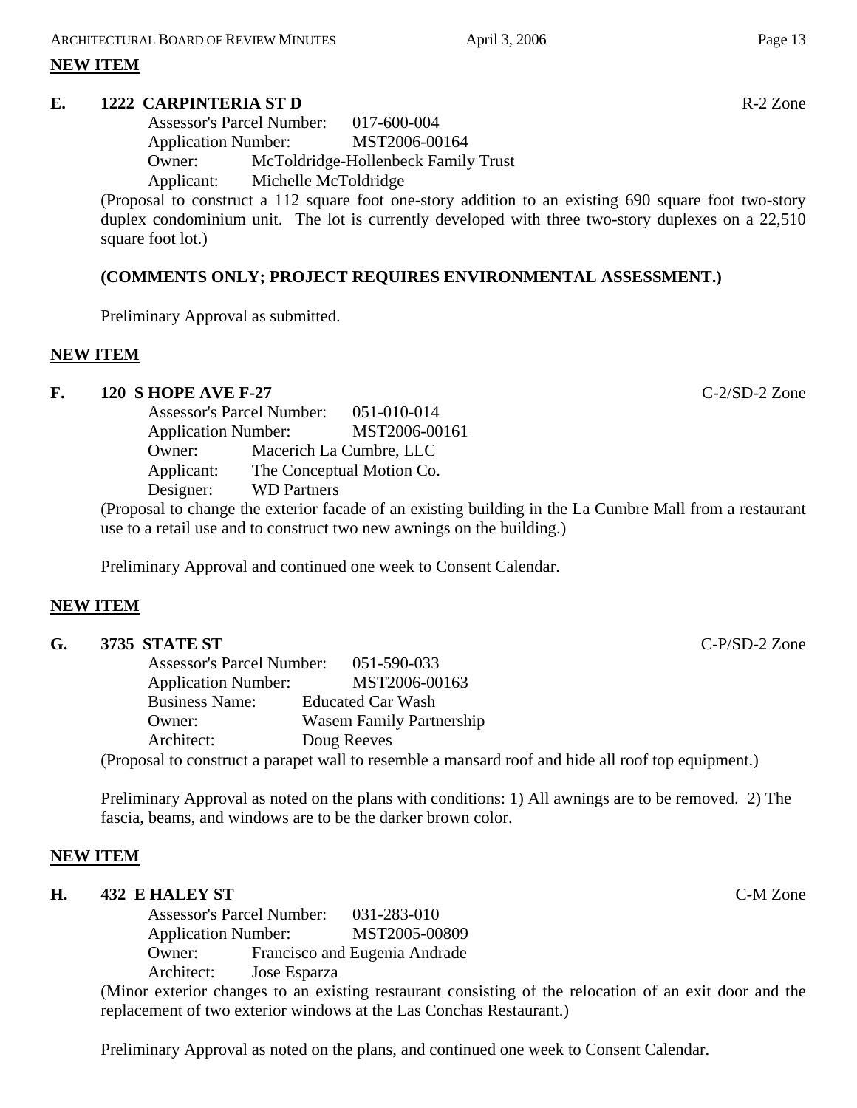#### **NEW ITEM**

#### **E. 1222 CARPINTERIA ST D** R-2 Zone

Assessor's Parcel Number: 017-600-004 Application Number: MST2006-00164 Owner: McToldridge-Hollenbeck Family Trust Applicant: Michelle McToldridge

(Proposal to construct a 112 square foot one-story addition to an existing 690 square foot two-story duplex condominium unit. The lot is currently developed with three two-story duplexes on a 22,510 square foot lot.)

# **(COMMENTS ONLY; PROJECT REQUIRES ENVIRONMENTAL ASSESSMENT.)**

Preliminary Approval as submitted.

# **NEW ITEM**

#### **F. 120 S HOPE AVE F-27** C-2/SD-2 Zone

Assessor's Parcel Number: 051-010-014 Application Number: MST2006-00161 Owner: Macerich La Cumbre, LLC Applicant: The Conceptual Motion Co. Designer: WD Partners

(Proposal to change the exterior facade of an existing building in the La Cumbre Mall from a restaurant use to a retail use and to construct two new awnings on the building.)

Preliminary Approval and continued one week to Consent Calendar.

# **NEW ITEM**

| G. | 3735 STATE ST              |                                                                                                    | $C-P/SD-2$ Zone |
|----|----------------------------|----------------------------------------------------------------------------------------------------|-----------------|
|    |                            | Assessor's Parcel Number: 051-590-033                                                              |                 |
|    | <b>Application Number:</b> | MST2006-00163                                                                                      |                 |
|    | <b>Business Name:</b>      | <b>Educated Car Wash</b>                                                                           |                 |
|    | Owner:                     | <b>Wasem Family Partnership</b>                                                                    |                 |
|    | Architect:                 | Doug Reeves                                                                                        |                 |
|    |                            | (Proposal to construct a parapet wall to resemble a mansard roof and hide all roof top equipment.) |                 |

Preliminary Approval as noted on the plans with conditions: 1) All awnings are to be removed. 2) The fascia, beams, and windows are to be the darker brown color.

#### **NEW ITEM**

#### **H. 432 E HALEY ST** C-M Zone

Assessor's Parcel Number: 031-283-010 Application Number: MST2005-00809 Owner: Francisco and Eugenia Andrade Architect: Jose Esparza

(Minor exterior changes to an existing restaurant consisting of the relocation of an exit door and the replacement of two exterior windows at the Las Conchas Restaurant.)

Preliminary Approval as noted on the plans, and continued one week to Consent Calendar.